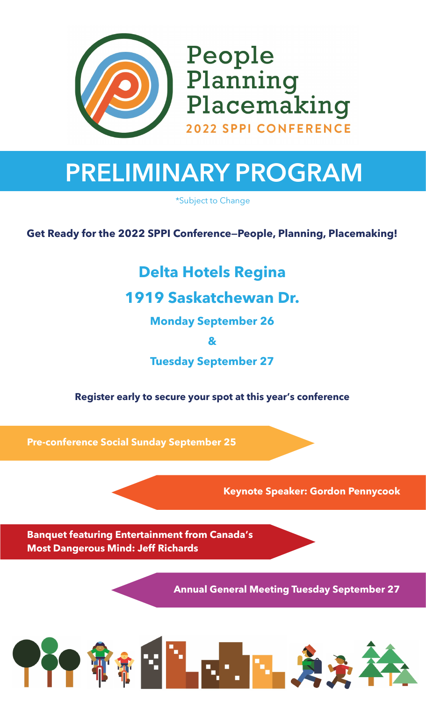

People Planning Placemaking **2022 SPPI CONFERENCE** 

# **PRELIMINARY PROGRAM**

\*Subject to Change

**Get Ready for the 2022 SPPI Conference—People, Planning, Placemaking!**

### **Delta Hotels Regina**

**1919 Saskatchewan Dr.**

**Monday September 26** 

**&** 

**Tuesday September 27**

#### **Register early to secure your spot at this year's conference**

**Pre-conference Social Sunday September 25**

**Keynote Speaker: Gordon Pennycook**

**Banquet featuring Entertainment from Canada's Most Dangerous Mind: Jeff Richards**

**Annual General Meeting Tuesday September 27**

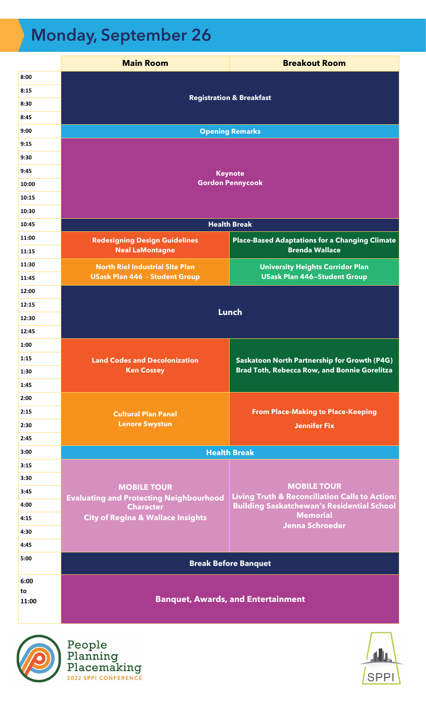## **Monday, September 26**

|       | <b>Main Room</b>                                                     | <b>Breakout Room</b>                                                            |
|-------|----------------------------------------------------------------------|---------------------------------------------------------------------------------|
| 8:00  |                                                                      |                                                                                 |
| 8:15  | <b>Registration &amp; Breakfast</b>                                  |                                                                                 |
| 8:30  |                                                                      |                                                                                 |
| 8:45  |                                                                      |                                                                                 |
| 9:00  | <b>Opening Remarks</b>                                               |                                                                                 |
| 9:15  |                                                                      |                                                                                 |
| 9:30  |                                                                      |                                                                                 |
| 9:45  | <b>Keynote</b><br><b>Gordon Pennycook</b>                            |                                                                                 |
| 10:00 |                                                                      |                                                                                 |
| 10:15 |                                                                      |                                                                                 |
| 10:30 |                                                                      |                                                                                 |
| 10:45 |                                                                      | <b>Health Break</b>                                                             |
| 11:00 | <b>Redesigning Design Guidelines</b>                                 | <b>Place-Based Adaptations for a Changing Climate</b>                           |
| 11:15 | <b>Neal LaMontagne</b>                                               | <b>Brenda Wallace</b>                                                           |
| 11:30 | <b>North Riel Industrial Site Plan</b>                               | <b>University Heights Corridor Plan</b>                                         |
| 11:45 | <b>USask Plan 446 - Student Group</b>                                | <b>USask Plan 446-Student Group</b>                                             |
| 12:00 | <b>Lunch</b>                                                         |                                                                                 |
| 12:15 |                                                                      |                                                                                 |
| 12:30 |                                                                      |                                                                                 |
| 12:45 |                                                                      |                                                                                 |
| 1:00  |                                                                      |                                                                                 |
| 1:15  | <b>Land Codes and Decolonization</b>                                 | Saskatoon North Partnership for Growth (P4G)                                    |
| 1:30  | <b>Ken Cossey</b>                                                    | <b>Brad Toth, Rebecca Row, and Bonnie Gorelitza</b>                             |
| 1:45  |                                                                      |                                                                                 |
| 2:00  |                                                                      |                                                                                 |
| 2:15  | <b>Cultural Plan Panel</b>                                           | <b>From Place-Making to Place-Keeping</b>                                       |
| 2:30  | <b>Lenore Swystun</b>                                                | <b>Jennifer Fix</b>                                                             |
| 2:45  |                                                                      |                                                                                 |
| 3:00  | <b>Health Break</b>                                                  |                                                                                 |
| 3:15  |                                                                      |                                                                                 |
| 3:30  |                                                                      |                                                                                 |
| 3:45  | <b>MOBILE TOUR</b><br><b>Evaluating and Protecting Neighbourhood</b> | <b>MOBILE TOUR</b><br><b>Living Truth &amp; Reconciliation Calls to Action:</b> |
| 4:00  | <b>Character</b>                                                     | <b>Building Saskatchewan's Residential School</b>                               |
| 4:15  | <b>City of Regina &amp; Wallace Insights</b>                         | <b>Memorial</b><br><b>Jenna Schroeder</b>                                       |
| 4:30  |                                                                      |                                                                                 |
| 4:45  |                                                                      |                                                                                 |
| 5:00  | <b>Break Before Banquet</b>                                          |                                                                                 |
| 6:00  |                                                                      |                                                                                 |
| to    | <b>Banquet, Awards, and Entertainment</b>                            |                                                                                 |
| 11:00 |                                                                      |                                                                                 |



People<br>Planning<br>Placemaking<br>2022 SPPI CONFERENCE